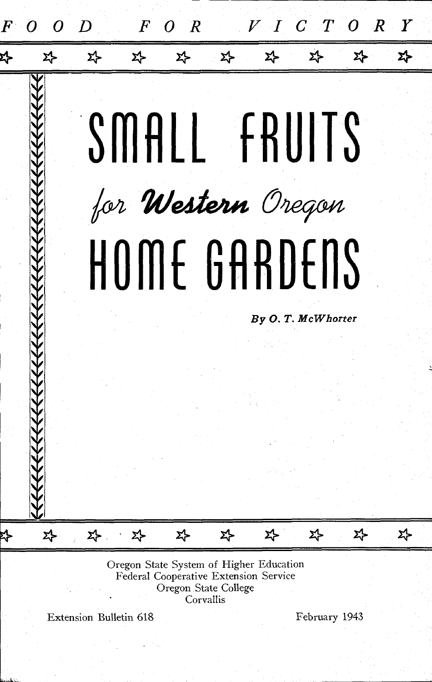

Federal Cooperative Extension Service Oregon State College

Corvallis

Extension Bulletin 618 February 1943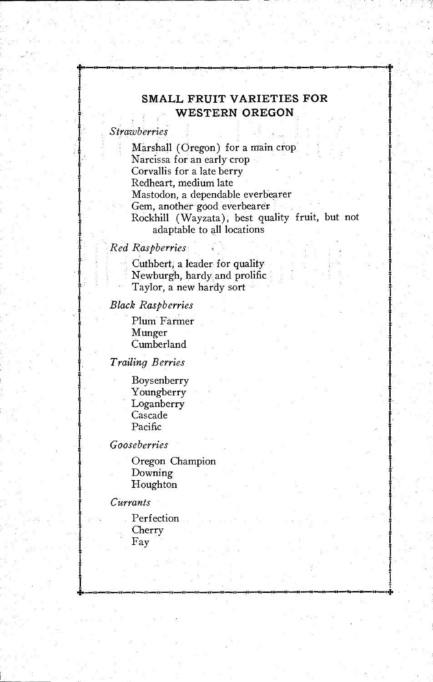# SMALL FRUIT VARIETIES FOR WESTERN OREGON

# **Strawberries**

1

Marshall (Oregon) for a main crop Narcissa for an early crop Corvallis for a late berry Redheart, medium late Mastodon, a dependable everbearer Gem, another good everbearer Rockhill (Wayzata), best quality fruit, but not adaptable to all locations

.4\*

# Red Raspberries

Cuthbert, a leader for quality Newburgh, hardy and prolific Taylor, a new hardy sort

#### Black Raspberries

Plum Farmer Munger Cumberland

Trailing Berries

Boysenberry Youngberry Loganberry Cascade Pacific

## Gooseberries

Oregon Champion Downing Houghton

## Currants

Perfection Cherry Fay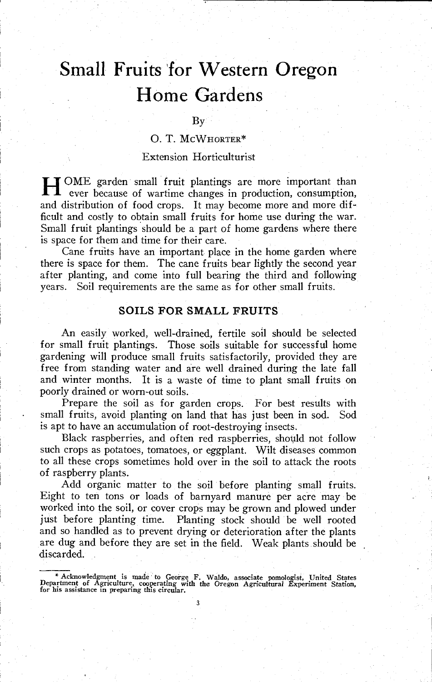# Small Fruits for Western Oregon Home Gardens

#### By

# 0. T. MCWHORTER\*

## Extension Horticulturist

HOME garden small fruit plantings are more important than ever because of wartime changes in production, consumption, and distribution of food crops. It may become more and more difficult and costly to obtain small fruits for home use during the war. Small fruit plantings should be a part of home gardens where there is space for them and time for their care.

Cane fruits have an important place in the home garden where there is space for them. The cane fruits bear lightly the second year after planting, and come into full bearing the third and following years. Soil requirements are the same as for other small fruits.

## SOILS FOR SMALL FRUITS

An easily worked, well-drained, fertile soil should be selected for small fruit plantings. Those soils suitable for successful home gardening will produce small fruits satisfactorily, provided they are free from standing water and are well drained during the late fall and winter months. It is a waste of time to plant small fruits on poorly drained or worn-out soils.

Prepare the soil as for garden crops. For best results with small fruits, avoid planting on land that has just been in sod. Sod is apt to have an accumulation of root-destroying insects.

Black raspberries, and often red raspberries, should not follow such crops as potatoes, tomatoes, or eggplant. Wilt diseases common to all these crops sometimes hold over in the soil to attack the roots of raspberry plants.

Add organic matter to the soil before planting small fruits. Eight to ten tons or loads of barnyard manure per acre may be worked into the soil, or cover crops may be grown and plowed under just before planting time. Planting stock should be well rooted and so handled as to prevent drying or deterioration after the plants are dug and before they are set in the field. Weak plants should be discarded.

<sup>\*</sup> Acknowledgment is made to George F. Waldo, associate pomologist, United States Department of Agriculture, cooperating with the Oregon Agricultural Experiment Station, for his assistance in preparing this circular.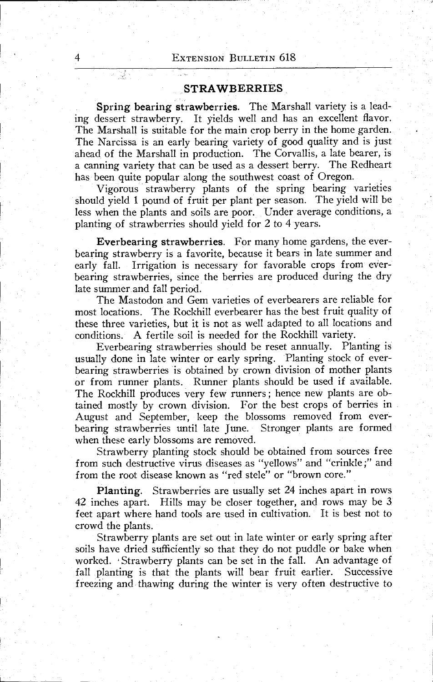4

기로노

### STRAWBERRIES

Spring bearing strawberries. The Marshall variety is a leading dessert strawberry. It yields well and has an excellent flavor. The Marshall is suitable for the main crop berry in the home garden. The Narcissa is an early bearing variety of good quality and is just ahead of the Marshall in production. The Corvallis, a late bearer, is a canning variety that can be used as a dessert berry. The Redheart has been quite popular along the southwest coast of Oregon.

Vigorous strawberry plants of the spring bearing varieties should yield 1 pound of fruit per plant per season. The yield will be less when the plants and soils are poor. Under average conditions, a planting of strawberries should yield for 2 to 4 years.

Everbearing strawberries. For many home gardens, the everbearing strawberry is a favorite, because it bears in late summer and early fall. Irrigation is necessary for favorable crops from everbearing strawberries, since the berries are produced during the dry late summer and fall period.

The Mastodon and Gem varieties of everbearers are reliable for most locations. The Rockhill everbearer has the best fruit quality of these three varieties, but it is not as well adapted to all locations and conditions. A fertile soil is needed for the Rockhill variety.

Everbearing strawberries should be reset annually. Planting is usually done in late winter or early spring. Planting stock of everbearing strawberries is obtained by crown division of mother plants or from runner plants. Runner plants should be used if available. The Rockhill produces very few runners ; hence new plants are obtained mostly by crown division. For the best crops of berries in August and September, keep the blossoms removed from everbearing strawberries until late June. Stronger plants are formed when these early blossoms are removed.

Strawberry planting stock should be obtained from sources free from such destructive virus diseases as "yellows" and "crinkle ;" and from the root disease known as "red stele" or "brown core."

Planting. Strawberries are usually set 24 inches apart in rows  $42$  inches apart. Hills may be closer together, and rows may be 3 feet apart where hand tools are used in cultivation. It is best not to crowd the plants.

Strawberry plants are set out in late winter or early spring after soils have dried sufficiently so that they do not puddle or bake when worked. Strawberry plants can be set in the fall. An advantage of fall planting is that the plants will bear fruit earlier. Successive freezing and thawing during the winter is very often destructive to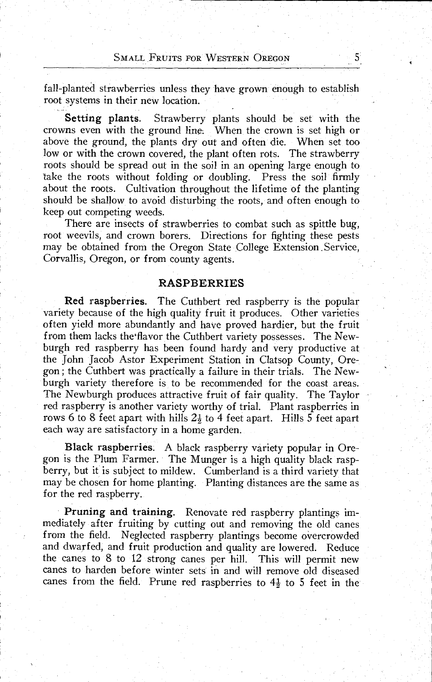fall-planted strawberries unless they have grown enough to establish root systems in their new location.

Setting plants. Strawberry plants should be set with the crowns even with the ground line. When the crown is set high or above the ground, the plants dry out and often die. When set too low or with the crown covered, the plant often rots. The strawberry roots should be spread out in the soil in an opening large enough to take the roots without folding or doubling. Press the soil firmly about the roots. Cultivation throughout the lifetime of the planting should be shallow to avoid disturbing the roots, and often enough to keep out competing weeds.

There are insects of strawberries to combat such as spittle bug, root weevils, and crown borers. Directions for fighting these pests may be obtained from the Oregon State College Extension Service, Corvallis, Oregon, or from county agents.

# RASPBERRIES

Red raspberries. The Cuthbert red raspberry is the popular variety because of the high quality fruit it produces. Other varieties often yield more abundantly and have proved hardier, but the fruit from them lacks the flavor the Cuthbert variety possesses. The Newburgh red raspberry has been found hardy and very productive at the John Jacob Astor Experiment Station in Clatsop County, Oregon; the Cuthbert was practically a failure in their trials. The Newburgh variety therefore is to be recommended for the coast areas. The Newburgh produces attractive fruit of fair quality. The Taylor red raspberry is another variety worthy of trial. Plant raspberries in rows 6 to 8 feet apart with hills  $2\frac{1}{2}$  to 4 feet apart. Hills 5 feet apart each way are satisfactory in a home garden.

Black raspberries. A black raspberry variety popular in Oregon is the Plum Farmer. The Munger is a high quality black raspberry, but it is subject to mildew. Cumberland is a third variety that may be chosen for home planting. Planting distances are the same as for the red raspberry.

Pruning and training. Renovate red raspberry plantings immediately after fruiting by cutting out and removing the old canes from the field. Neglected raspberry plantings become overcrowded and dwarfed, and fruit production and quality are lowered. Reduce the canes to 8 to 12 strong canes per hill. This will permit new canes to harden before winter sets in and will remove old diseased canes from the field. Prune red raspberries to  $4\frac{1}{2}$  to 5 feet in the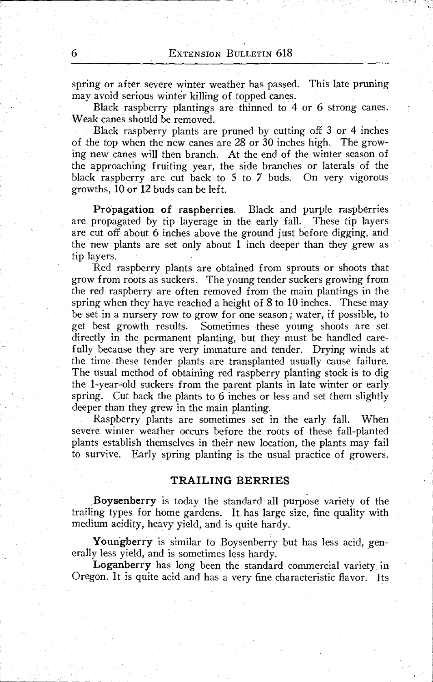spring or after severe winter weather has passed. This late pruning may avoid serious winter killing of topped canes.

Black raspberry plantings are thinned to 4 or 6 strong canes. Weak canes should be removed.

Black raspberry plants are pruned by cutting off 3 or 4 inches of the top when the new canes are 28 or 30 inches high. The growing new canes will then branch. At the end of the winter season of the approaching fruiting year, the side branches or laterals of the black raspberry are cut back to 5 to 7 buds. On very vigorous growths, 10 or 12 buds can be left.

Propagation of raspberries. Black and purple raspberries are propagated by tip layerage in the early fall. These tip layers are cut off about 6 inches above the ground just before digging, and the new plants are set only about 1 inch deeper than they grew as tip layers.

Red raspberry plants are obtained from sprouts or shoots that grow from roots as suckers. The young tender suckers growing from the red raspberry are often removed from the main plantings in the spring when they have reached a height of 8 to 10 inches. These may be set in a nursery row to grow for one season ; water, if possible, to get best growth results. Sometimes these young shoots are set directly in the permanent planting, but they must be handled carefully because they are very immature and tender. Drying winds at the time these tender plants are transplanted usually cause failure. The usual method of obtaining red raspberry planting stock is to dig the 1-year-old suckers from the parent plants in late winter or early spring. Cut back the plants to 6 inches or less and set them slightly deeper than they grew in the main planting.

Raspberry plants are sometimes set in the early fall. When severe winter weather occurs before the roots of these fall-planted plants establish themselves in their new location, the plants may fail to survive. Early spring planting is the usual practice of growers.

#### TRAILING BERRIES

Boysenberry is today the standard all purpose variety of the trailing types for home gardens. It has large size, fine quality with medium acidity, heavy yield, and is quite hardy.

Youngberry is similar to Boysenberry but has less acid, generally less yield, and is sometimes less hardy.

Loganberry has long been the standard commercial variety in Oregon. It is quite acid and has a very fine characteristic flavor. Its

6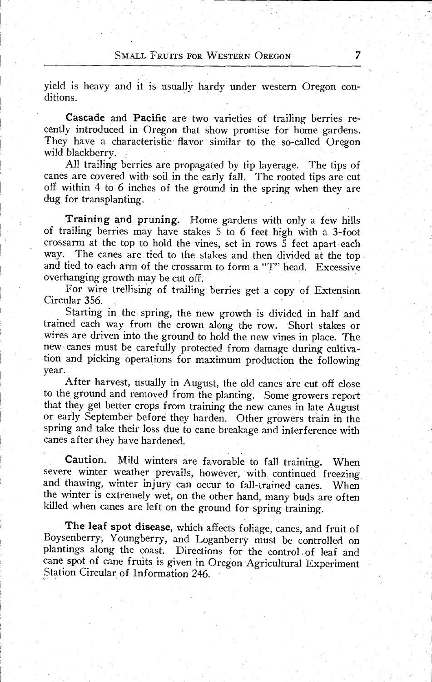yield is heavy and it is usually hardy under western Oregon conditions.

Cascade and Pacific are two varieties of trailing berries recently introduced in Oregon that show promise for home gardens. They have a characteristic flavor similar to the so-called Oregon wild blackberry.

All trailing berries are propagated by tip layerage. The tips of canes are covered with soil in the early fall. The rooted tips are cut off within 4 to 6 inches of the ground in the spring when they are dug for transplanting.

Training and pruning. Home gardens with only a few hills of trailing berries may have stakes 5 to 6 feet high with a 3-foot crossarm at the top to hold the vines, set in rows 5 feet apart each way. The canes are tied to the stakes and then divided at the top and tied to each arm of the crossarm to form a "T" head. Excessive overhanging growth may be cut off.

For wire trellising of trailing berries get a copy of Extension Circular 356.

Starting in the spring, the new growth is divided in half and trained each way from the crown along the row. Short stakes or wires are driven into the ground to hold the new vines in place. The new canes must be carefully protected from damage during cultivation and picking operations for maximum production the following year.

After harvest, usually in August, the old canes are cut off close to the ground and removed from the planting. Some growers report that they get better crops from training the new canes in late August or early September before they harden. Other growers train in the spring and take their loss due to cane breakage and interference with canes after they have hardened.

Caution. Mild winters are favorable to fall training. When severe winter weather prevails, however, with continued freezing and thawing, winter injury can occur to fall-trained canes. When the winter is extremely wet, on the other hand, many buds are often killed when canes are left on the ground for spring training.

The leaf spot disease, which affects foliage, canes, and fruit of Boysenberry, Youngberry, and Loganberry must be controlled on plantings along the coast. Directions for the control of leaf and cane spot of cane fruits is given in Oregon Agricultural Experiment Station Circular of Information 246.